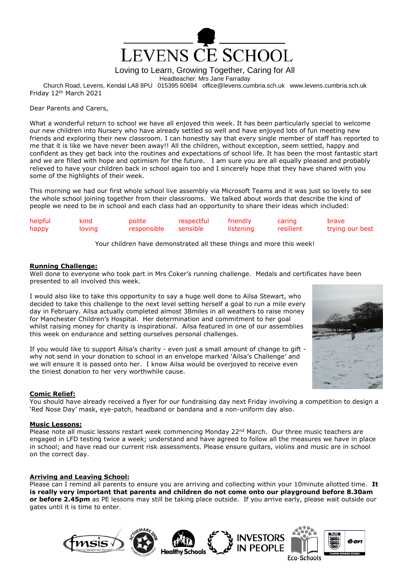

Loving to Learn, Growing Together, Caring for All

Headteacher: Mrs Jane Farraday

Church Road, Levens, Kendal LA8 8PU 015395 60694 office@levens.cumbria.sch.uk www.levens.cumbria.sch.uk Friday 12th March 2021

### Dear Parents and Carers,

What a wonderful return to school we have all enjoyed this week. It has been particularly special to welcome our new children into Nursery who have already settled so well and have enjoyed lots of fun meeting new friends and exploring their new classroom. I can honestly say that every single member of staff has reported to me that it is like we have never been away!! All the children, without exception, seem settled, happy and confident as they get back into the routines and expectations of school life. It has been the most fantastic start and we are filled with hope and optimism for the future. I am sure you are all equally pleased and probably relieved to have your children back in school again too and I sincerely hope that they have shared with you some of the highlights of their week.

This morning we had our first whole school live assembly via Microsoft Teams and it was just so lovely to see the whole school joining together from their classrooms. We talked about words that describe the kind of people we need to be in school and each class had an opportunity to share their ideas which included:

| helpful | kind   | polite               | respectful | friendly  | caring    | brave           |
|---------|--------|----------------------|------------|-----------|-----------|-----------------|
| happy   | loving | responsible sensible |            | listening | resilient | trying our best |

Your children have demonstrated all these things and more this week!

### **Running Challenge:**

Well done to everyone who took part in Mrs Coker's running challenge. Medals and certificates have been presented to all involved this week.

I would also like to take this opportunity to say a huge well done to Ailsa Stewart, who decided to take this challenge to the next level setting herself a goal to run a mile every day in February. Ailsa actually completed almost 38miles in all weathers to raise money for Manchester Children's Hospital. Her determination and commitment to her goal whilst raising money for charity is inspirational. Ailsa featured in one of our assemblies this week on endurance and setting ourselves personal challenges.

If you would like to support Ailsa's charity - even just a small amount of change to gift why not send in your donation to school in an envelope marked 'Ailsa's Challenge' and we will ensure it is passed onto her. I know Ailsa would be overjoyed to receive even the tiniest donation to her very worthwhile cause.

# **Comic Relief:**

You should have already received a flyer for our fundraising day next Friday involving a competition to design a 'Red Nose Day' mask, eye-patch, headband or bandana and a non-uniform day also.

# **Music Lessons:**

Please note all music lessons restart week commencing Monday 22<sup>nd</sup> March. Our three music teachers are engaged in LFD testing twice a week; understand and have agreed to follow all the measures we have in place in school; and have read our current risk assessments. Please ensure guitars, violins and music are in school on the correct day.

# **Arriving and Leaving School:**

Please can I remind all parents to ensure you are arriving and collecting within your 10minute allotted time. **It is really very important that parents and children do not come onto our playground before 8.30am or before 2.45pm** as PE lessons may still be taking place outside. If you arrive early, please wait outside our gates until it is time to enter.